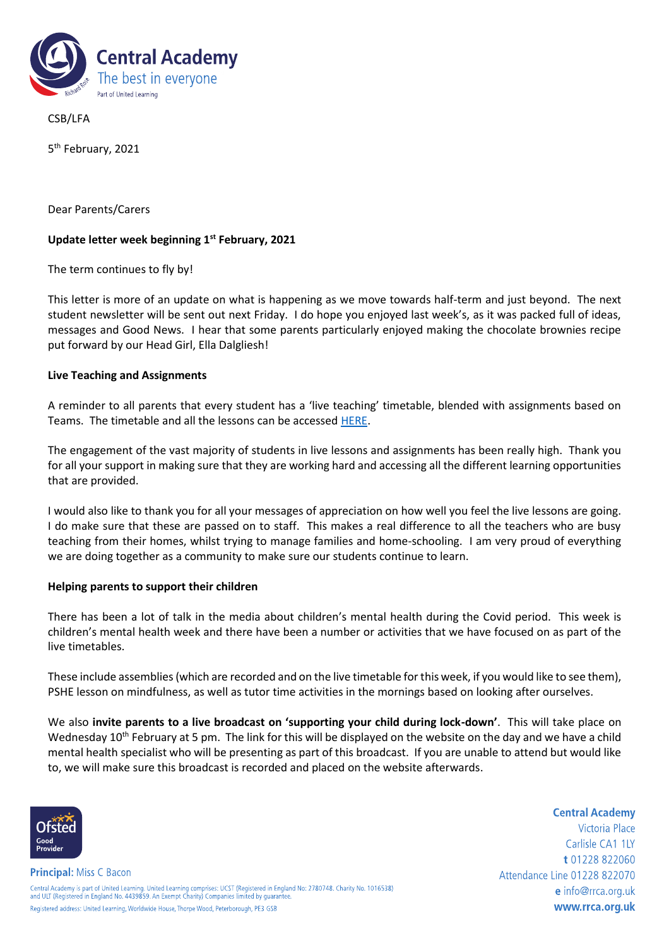

CSB/LFA

5<sup>th</sup> February, 2021

Dear Parents/Carers

# **Update letter week beginning 1st February, 2021**

The term continues to fly by!

This letter is more of an update on what is happening as we move towards half-term and just beyond. The next student newsletter will be sent out next Friday. I do hope you enjoyed last week's, as it was packed full of ideas, messages and Good News. I hear that some parents particularly enjoyed making the chocolate brownies recipe put forward by our Head Girl, Ella Dalgliesh!

## **Live Teaching and Assignments**

A reminder to all parents that every student has a 'live teaching' timetable, blended with assignments based on Teams. The timetable and all the lessons can be accessed [HERE.](https://www.rrca.org.uk/curriculum/home-learning)

The engagement of the vast majority of students in live lessons and assignments has been really high. Thank you for all your support in making sure that they are working hard and accessing all the different learning opportunities that are provided.

I would also like to thank you for all your messages of appreciation on how well you feel the live lessons are going. I do make sure that these are passed on to staff. This makes a real difference to all the teachers who are busy teaching from their homes, whilst trying to manage families and home-schooling. I am very proud of everything we are doing together as a community to make sure our students continue to learn.

## **Helping parents to support their children**

There has been a lot of talk in the media about children's mental health during the Covid period. This week is children's mental health week and there have been a number or activities that we have focused on as part of the live timetables.

These include assemblies (which are recorded and on the live timetable for this week, if you would like to see them), PSHE lesson on mindfulness, as well as tutor time activities in the mornings based on looking after ourselves.

We also **invite parents to a live broadcast on 'supporting your child during lock-down'**. This will take place on Wednesday 10<sup>th</sup> February at 5 pm. The link for this will be displayed on the website on the day and we have a child mental health specialist who will be presenting as part of this broadcast. If you are unable to attend but would like to, we will make sure this broadcast is recorded and placed on the website afterwards.



**Principal:** Miss C Bacon

**Central Academy** Victoria Place Carlisle CA1 1LY t 01228 822060 Attendance Line 01228 822070 e info@rrca.org.uk www.rrca.org.uk

Central Academy is part of United Learning. United Learning comprises: UCST (Registered in England No: 2780748. Charity No. 1016538)<br>and ULT (Registered in England No. 4439859. An Exempt Charity) Companies limited by guara Registered address: United Learning, Worldwide House, Thorpe Wood, Peterborough, PE3 GSB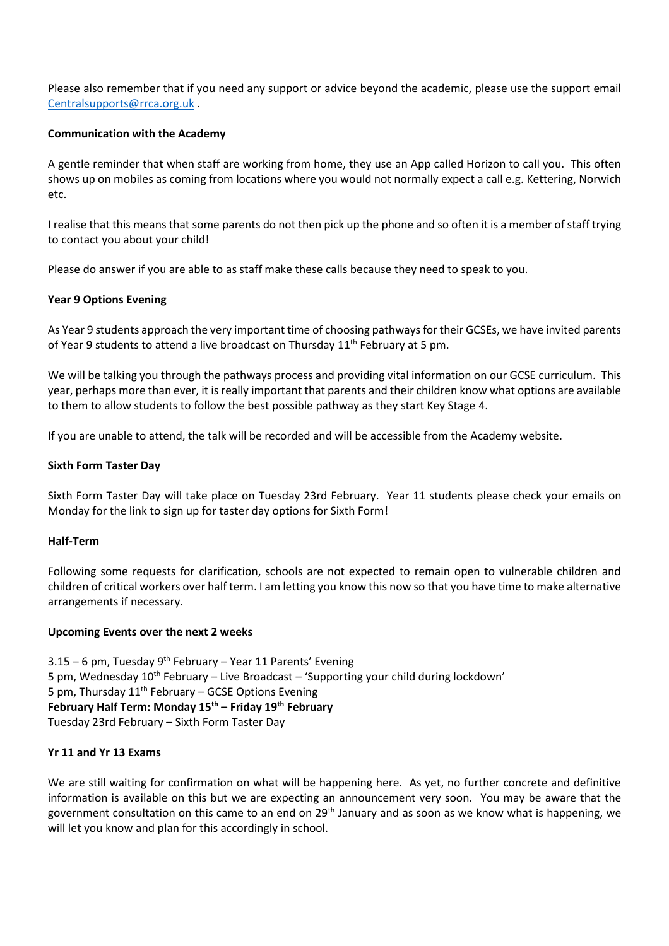Please also remember that if you need any support or advice beyond the academic, please use the support email [Centralsupports@rrca.org.uk](mailto:Centralsupports@rrca.org.uk) .

## **Communication with the Academy**

A gentle reminder that when staff are working from home, they use an App called Horizon to call you. This often shows up on mobiles as coming from locations where you would not normally expect a call e.g. Kettering, Norwich etc.

I realise that this means that some parents do not then pick up the phone and so often it is a member of staff trying to contact you about your child!

Please do answer if you are able to as staff make these calls because they need to speak to you.

## **Year 9 Options Evening**

As Year 9 students approach the very important time of choosing pathways for their GCSEs, we have invited parents of Year 9 students to attend a live broadcast on Thursday 11<sup>th</sup> February at 5 pm.

We will be talking you through the pathways process and providing vital information on our GCSE curriculum. This year, perhaps more than ever, it is really important that parents and their children know what options are available to them to allow students to follow the best possible pathway as they start Key Stage 4.

If you are unable to attend, the talk will be recorded and will be accessible from the Academy website.

#### **Sixth Form Taster Day**

Sixth Form Taster Day will take place on Tuesday 23rd February. Year 11 students please check your emails on Monday for the link to sign up for taster day options for Sixth Form!

#### **Half-Term**

Following some requests for clarification, schools are not expected to remain open to vulnerable children and children of critical workers over half term. I am letting you know this now so that you have time to make alternative arrangements if necessary.

#### **Upcoming Events over the next 2 weeks**

3.15 – 6 pm, Tuesday 9<sup>th</sup> February – Year 11 Parents' Evening 5 pm, Wednesday  $10^{th}$  February – Live Broadcast – 'Supporting your child during lockdown' 5 pm, Thursday  $11<sup>th</sup>$  February – GCSE Options Evening **February Half Term: Monday 15th – Friday 19th February** Tuesday 23rd February – Sixth Form Taster Day

#### **Yr 11 and Yr 13 Exams**

We are still waiting for confirmation on what will be happening here. As yet, no further concrete and definitive information is available on this but we are expecting an announcement very soon. You may be aware that the government consultation on this came to an end on 29<sup>th</sup> January and as soon as we know what is happening, we will let you know and plan for this accordingly in school.